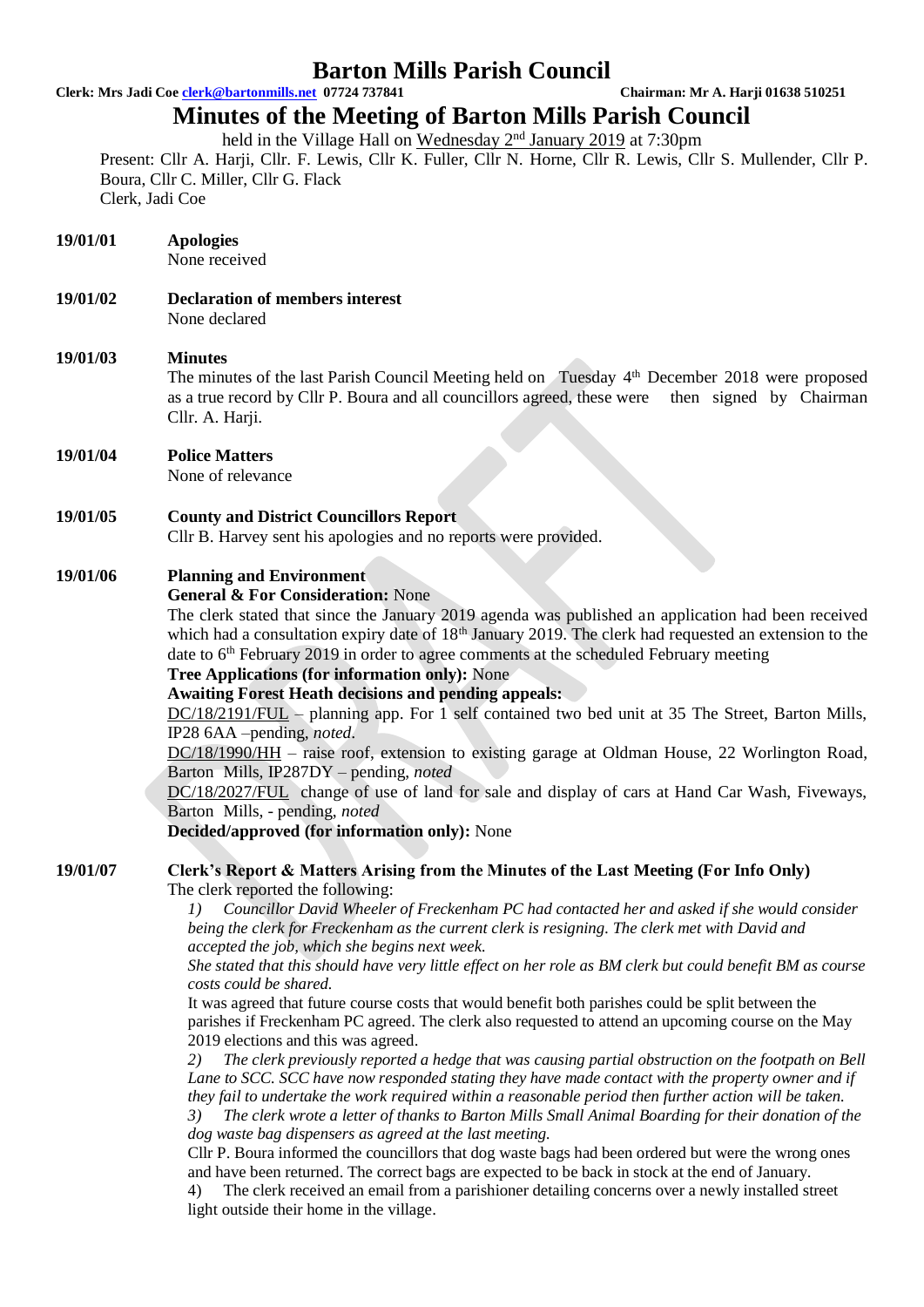# **Barton Mills Parish Council**

**Clerk: Mrs Jadi Coe [clerk@bartonmills.net](mailto:clerk@bartonmills.net) 07724 737841 Chairman: Mr A. Harji 01638 510251**

# **Minutes of the Meeting of Barton Mills Parish Council**

held in the Village Hall on Wednesday 2<sup>nd</sup> January 2019 at 7:30pm

Present: Cllr A. Harji, Cllr. F. Lewis, Cllr K. Fuller, Cllr N. Horne, Cllr R. Lewis, Cllr S. Mullender, Cllr P. Boura, Cllr C. Miller, Cllr G. Flack Clerk, Jadi Coe

| 19/01/01 | <b>Apologies</b><br>None received                                                                                                                                                                                                                                                                                                                                                                                                                                                                                                                                                                                                                                                                                                                                                                                                                                                                                                                                                                                                                                                                                                                                                                                    |
|----------|----------------------------------------------------------------------------------------------------------------------------------------------------------------------------------------------------------------------------------------------------------------------------------------------------------------------------------------------------------------------------------------------------------------------------------------------------------------------------------------------------------------------------------------------------------------------------------------------------------------------------------------------------------------------------------------------------------------------------------------------------------------------------------------------------------------------------------------------------------------------------------------------------------------------------------------------------------------------------------------------------------------------------------------------------------------------------------------------------------------------------------------------------------------------------------------------------------------------|
| 19/01/02 | <b>Declaration of members interest</b><br>None declared                                                                                                                                                                                                                                                                                                                                                                                                                                                                                                                                                                                                                                                                                                                                                                                                                                                                                                                                                                                                                                                                                                                                                              |
| 19/01/03 | <b>Minutes</b><br>The minutes of the last Parish Council Meeting held on Tuesday 4 <sup>th</sup> December 2018 were proposed<br>as a true record by Cllr P. Boura and all councillors agreed, these were<br>then signed by Chairman<br>Cllr. A. Harji.                                                                                                                                                                                                                                                                                                                                                                                                                                                                                                                                                                                                                                                                                                                                                                                                                                                                                                                                                               |
| 19/01/04 | <b>Police Matters</b><br>None of relevance                                                                                                                                                                                                                                                                                                                                                                                                                                                                                                                                                                                                                                                                                                                                                                                                                                                                                                                                                                                                                                                                                                                                                                           |
| 19/01/05 | <b>County and District Councillors Report</b><br>Cllr B. Harvey sent his apologies and no reports were provided.                                                                                                                                                                                                                                                                                                                                                                                                                                                                                                                                                                                                                                                                                                                                                                                                                                                                                                                                                                                                                                                                                                     |
| 19/01/06 | <b>Planning and Environment</b><br><b>General &amp; For Consideration: None</b><br>The clerk stated that since the January 2019 agenda was published an application had been received<br>which had a consultation expiry date of 18 <sup>th</sup> January 2019. The clerk had requested an extension to the<br>date to 6 <sup>th</sup> February 2019 in order to agree comments at the scheduled February meeting<br>Tree Applications (for information only): None<br><b>Awaiting Forest Heath decisions and pending appeals:</b><br>$DC/18/2191/FUL$ – planning app. For 1 self contained two bed unit at 35 The Street, Barton Mills,<br>IP28 6AA -pending, noted.<br>$DC/18/1990/HH$ – raise roof, extension to existing garage at Oldman House, 22 Worlington Road,<br>Barton Mills, IP287DY - pending, noted<br>DC/18/2027/FUL change of use of land for sale and display of cars at Hand Car Wash, Fiveways,<br>Barton Mills, - pending, noted<br><b>Decided/approved (for information only):</b> None                                                                                                                                                                                                        |
| 19/01/07 | Clerk's Report & Matters Arising from the Minutes of the Last Meeting (For Info Only)<br>The clerk reported the following:<br>Councillor David Wheeler of Freckenham PC had contacted her and asked if she would consider<br>I)<br>being the clerk for Freckenham as the current clerk is resigning. The clerk met with David and<br>accepted the job, which she begins next week.<br>She stated that this should have very little effect on her role as BM clerk but could benefit BM as course<br>costs could be shared.<br>It was agreed that future course costs that would benefit both parishes could be split between the<br>parishes if Freckenham PC agreed. The clerk also requested to attend an upcoming course on the May<br>2019 elections and this was agreed.<br>The clerk previously reported a hedge that was causing partial obstruction on the footpath on Bell<br>2)<br>Lane to SCC. SCC have now responded stating they have made contact with the property owner and if<br>they fail to undertake the work required within a reasonable period then further action will be taken.<br>The clerk wrote a letter of thanks to Barton Mills Small Animal Boarding for their donation of the<br>3) |

*dog waste bag dispensers as agreed at the last meeting.*

Cllr P. Boura informed the councillors that dog waste bags had been ordered but were the wrong ones and have been returned. The correct bags are expected to be back in stock at the end of January.

4) The clerk received an email from a parishioner detailing concerns over a newly installed street light outside their home in the village.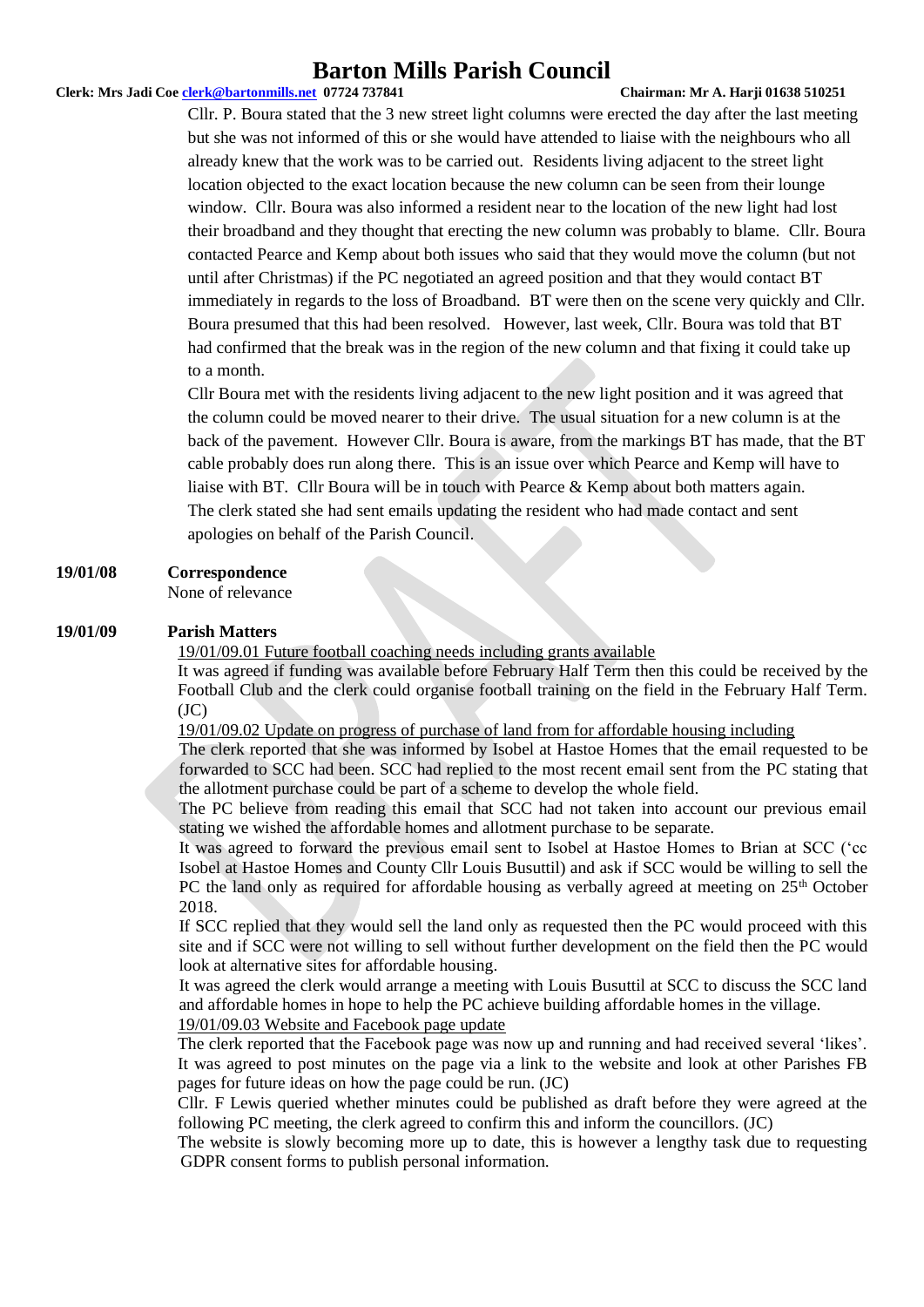# **Barton Mills Parish Council**

#### **Clerk: Mrs Jadi Coe [clerk@bartonmills.net](mailto:clerk@bartonmills.net) 07724 737841 Chairman: Mr A. Harji 01638 510251**

Cllr. P. Boura stated that the 3 new street light columns were erected the day after the last meeting but she was not informed of this or she would have attended to liaise with the neighbours who all already knew that the work was to be carried out. Residents living adjacent to the street light location objected to the exact location because the new column can be seen from their lounge window. Cllr. Boura was also informed a resident near to the location of the new light had lost their broadband and they thought that erecting the new column was probably to blame. Cllr. Boura contacted Pearce and Kemp about both issues who said that they would move the column (but not until after Christmas) if the PC negotiated an agreed position and that they would contact BT immediately in regards to the loss of Broadband. BT were then on the scene very quickly and Cllr. Boura presumed that this had been resolved. However, last week, Cllr. Boura was told that BT had confirmed that the break was in the region of the new column and that fixing it could take up to a month.

Cllr Boura met with the residents living adjacent to the new light position and it was agreed that the column could be moved nearer to their drive. The usual situation for a new column is at the back of the pavement. However Cllr. Boura is aware, from the markings BT has made, that the BT cable probably does run along there. This is an issue over which Pearce and Kemp will have to liaise with BT. Cllr Boura will be in touch with Pearce & Kemp about both matters again. The clerk stated she had sent emails updating the resident who had made contact and sent apologies on behalf of the Parish Council.

#### **19/01/08 Correspondence**

None of relevance

#### **19/01/09 Parish Matters**

19/01/09.01 Future football coaching needs including grants available

It was agreed if funding was available before February Half Term then this could be received by the Football Club and the clerk could organise football training on the field in the February Half Term.  $(JC)$ 

19/01/09.02 Update on progress of purchase of land from for affordable housing including

The clerk reported that she was informed by Isobel at Hastoe Homes that the email requested to be forwarded to SCC had been. SCC had replied to the most recent email sent from the PC stating that the allotment purchase could be part of a scheme to develop the whole field.

The PC believe from reading this email that SCC had not taken into account our previous email stating we wished the affordable homes and allotment purchase to be separate.

It was agreed to forward the previous email sent to Isobel at Hastoe Homes to Brian at SCC ('cc Isobel at Hastoe Homes and County Cllr Louis Busuttil) and ask if SCC would be willing to sell the PC the land only as required for affordable housing as verbally agreed at meeting on 25<sup>th</sup> October 2018.

If SCC replied that they would sell the land only as requested then the PC would proceed with this site and if SCC were not willing to sell without further development on the field then the PC would look at alternative sites for affordable housing.

It was agreed the clerk would arrange a meeting with Louis Busuttil at SCC to discuss the SCC land and affordable homes in hope to help the PC achieve building affordable homes in the village. 19/01/09.03 Website and Facebook page update

The clerk reported that the Facebook page was now up and running and had received several 'likes'. It was agreed to post minutes on the page via a link to the website and look at other Parishes FB pages for future ideas on how the page could be run. (JC)

Cllr. F Lewis queried whether minutes could be published as draft before they were agreed at the following PC meeting, the clerk agreed to confirm this and inform the councillors. (JC)

The website is slowly becoming more up to date, this is however a lengthy task due to requesting GDPR consent forms to publish personal information.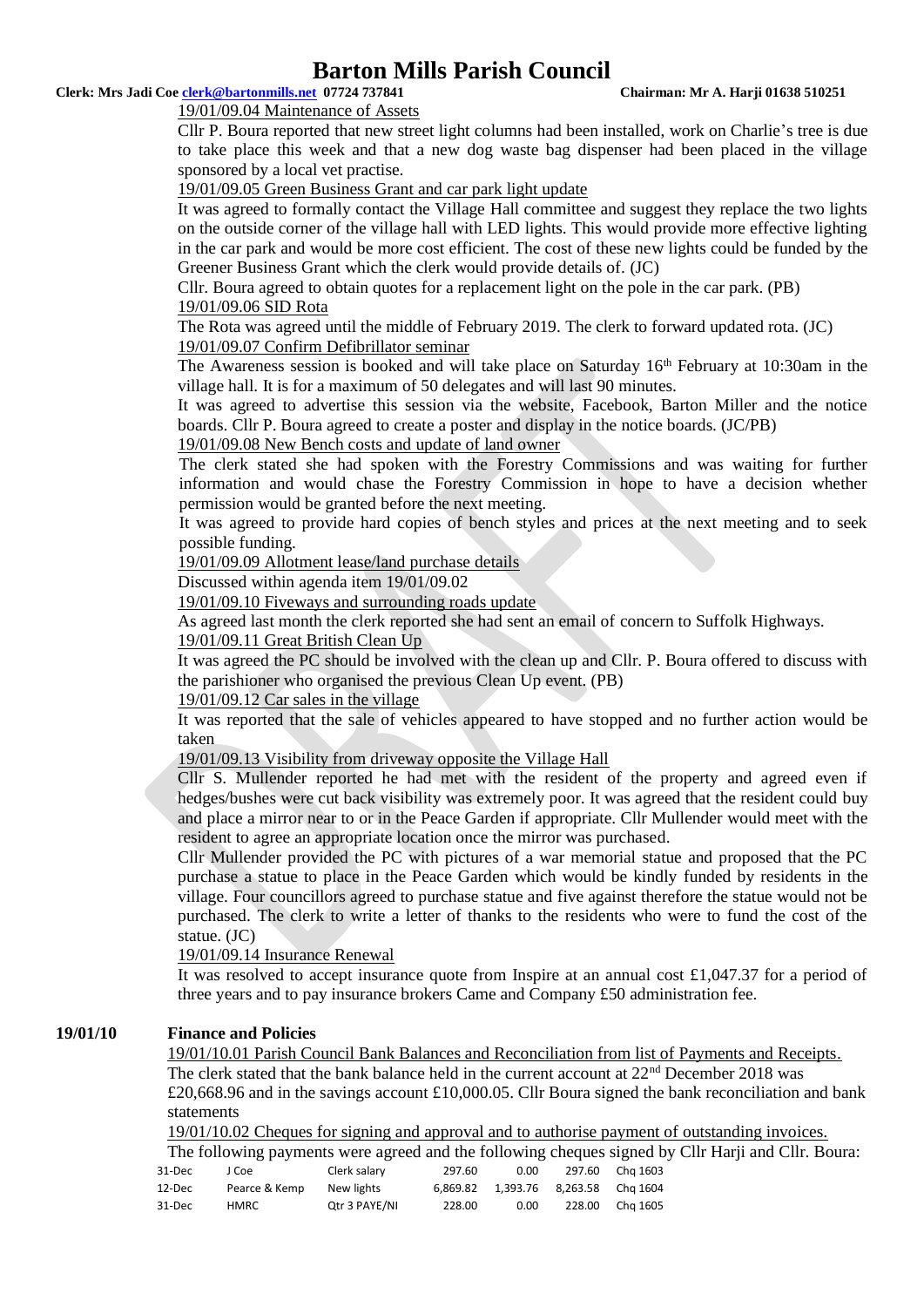# **Barton Mills Parish Council**

#### **Clerk: Mrs Jadi Coe [clerk@bartonmills.net](mailto:clerk@bartonmills.net) 07724 737841 Chairman: Mr A. Harji 01638 510251**

19/01/09.04 Maintenance of Assets

Cllr P. Boura reported that new street light columns had been installed, work on Charlie's tree is due to take place this week and that a new dog waste bag dispenser had been placed in the village sponsored by a local vet practise.

#### 19/01/09.05 Green Business Grant and car park light update

It was agreed to formally contact the Village Hall committee and suggest they replace the two lights on the outside corner of the village hall with LED lights. This would provide more effective lighting in the car park and would be more cost efficient. The cost of these new lights could be funded by the Greener Business Grant which the clerk would provide details of. (JC)

Cllr. Boura agreed to obtain quotes for a replacement light on the pole in the car park. (PB) 19/01/09.06 SID Rota

The Rota was agreed until the middle of February 2019. The clerk to forward updated rota. (JC)

### 19/01/09.07 Confirm Defibrillator seminar

The Awareness session is booked and will take place on Saturday  $16<sup>th</sup>$  February at 10:30am in the village hall. It is for a maximum of 50 delegates and will last 90 minutes.

It was agreed to advertise this session via the website, Facebook, Barton Miller and the notice boards. Cllr P. Boura agreed to create a poster and display in the notice boards. (JC/PB)

#### 19/01/09.08 New Bench costs and update of land owner

The clerk stated she had spoken with the Forestry Commissions and was waiting for further information and would chase the Forestry Commission in hope to have a decision whether permission would be granted before the next meeting.

It was agreed to provide hard copies of bench styles and prices at the next meeting and to seek possible funding.

19/01/09.09 Allotment lease/land purchase details

Discussed within agenda item 19/01/09.02

19/01/09.10 Fiveways and surrounding roads update

As agreed last month the clerk reported she had sent an email of concern to Suffolk Highways.

#### 19/01/09.11 Great British Clean Up

It was agreed the PC should be involved with the clean up and Cllr. P. Boura offered to discuss with the parishioner who organised the previous Clean Up event. (PB)

#### 19/01/09.12 Car sales in the village

It was reported that the sale of vehicles appeared to have stopped and no further action would be taken

#### 19/01/09.13 Visibility from driveway opposite the Village Hall

Cllr S. Mullender reported he had met with the resident of the property and agreed even if hedges/bushes were cut back visibility was extremely poor. It was agreed that the resident could buy and place a mirror near to or in the Peace Garden if appropriate. Cllr Mullender would meet with the resident to agree an appropriate location once the mirror was purchased.

Cllr Mullender provided the PC with pictures of a war memorial statue and proposed that the PC purchase a statue to place in the Peace Garden which would be kindly funded by residents in the village. Four councillors agreed to purchase statue and five against therefore the statue would not be purchased. The clerk to write a letter of thanks to the residents who were to fund the cost of the statue. (JC)

#### 19/01/09.14 Insurance Renewal

It was resolved to accept insurance quote from Inspire at an annual cost £1,047.37 for a period of three years and to pay insurance brokers Came and Company £50 administration fee.

#### **19/01/10 Finance and Policies**

19/01/10.01 Parish Council Bank Balances and Reconciliation from list of Payments and Receipts. The clerk stated that the bank balance held in the current account at 22<sup>nd</sup> December 2018 was £20,668.96 and in the savings account £10,000.05. Cllr Boura signed the bank reconciliation and bank statements

19/01/10.02 Cheques for signing and approval and to authorise payment of outstanding invoices.

The following payments were agreed and the following cheques signed by Cllr Harji and Cllr. Boura:

| 31-Dec | J Coe         | Clerk salary  | 297.60 | 0.00                                   | 297.60 Cha 1603 |
|--------|---------------|---------------|--------|----------------------------------------|-----------------|
| 12-Dec | Pearce & Kemp | New lights    |        | 6.869.82  1.393.76  8.263.58  Cha 1604 |                 |
| 31-Dec | HMRC          | Otr 3 PAYE/NI | 228.00 | 0.00                                   | 228.00 Cha 1605 |